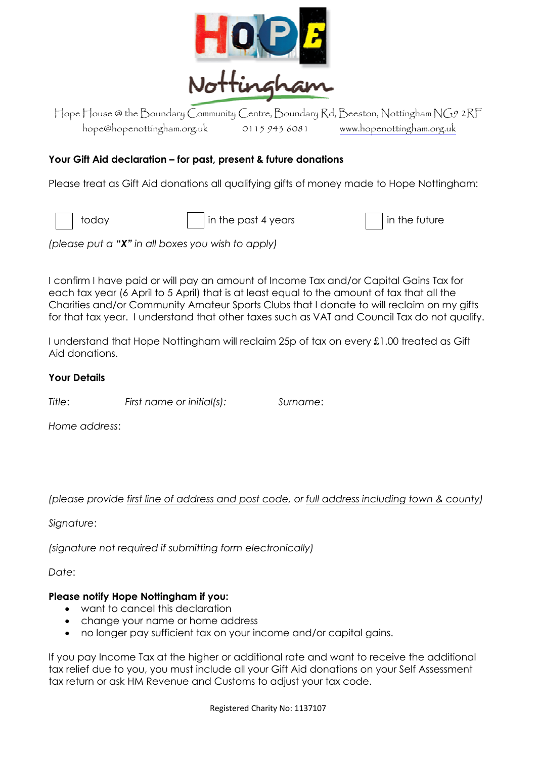

Hope House @ the Boundary Community Centre, Boundary Rd, Beeston, Nottingham NG9 2RF hope@hopenottingham.org.uk 0115 943 6081 <www.hopenottingham.org.uk>

# **Your Gift Aid declaration – for past, present & future donations**

Please treat as Gift Aid donations all qualifying gifts of money made to Hope Nottingham:

 $\begin{array}{c|c|c|c|c|c|c|c} \hline \text{ioday} & \text{in the past 4 years} \end{array}$  in the future

*(please put a "X" in all boxes you wish to apply)*

I confirm I have paid or will pay an amount of Income Tax and/or Capital Gains Tax for each tax year (6 April to 5 April) that is at least equal to the amount of tax that all the Charities and/or Community Amateur Sports Clubs that I donate to will reclaim on my gifts for that tax year. I understand that other taxes such as VAT and Council Tax do not qualify.

I understand that Hope Nottingham will reclaim 25p of tax on every £1.00 treated as Gift Aid donations.

#### **Your Details**

*Title*: *First name or initial(s): Surname*:

*Home address*:

*(please provide first line of address and post code, or full address including town & county)*

*Signature*:

*(signature not required if submitting form electronically)*

*Date*:

### **Please notify Hope Nottingham if you:**

- want to cancel this declaration
- change your name or home address
- no longer pay sufficient tax on your income and/or capital gains.

If you pay Income Tax at the higher or additional rate and want to receive the additional tax relief due to you, you must include all your Gift Aid donations on your Self Assessment tax return or ask HM Revenue and Customs to adjust your tax code.